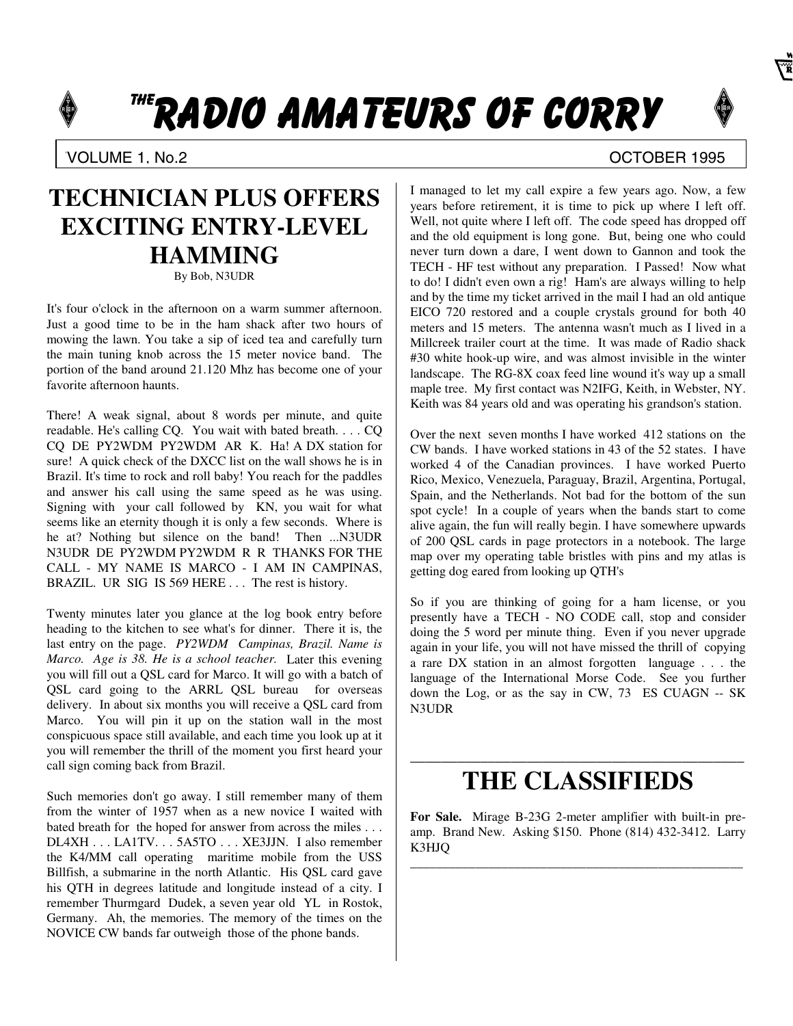# THE RADIO AMATEURS OF CORRY



### VOLUME 1. No.2 COLUME 1. No.2

## **TECHNICIAN PLUS OFFERS EXCITING ENTRY-LEVEL HAMMING**

By Bob, N3UDR

It's four o'clock in the afternoon on a warm summer afternoon. Just a good time to be in the ham shack after two hours of mowing the lawn. You take a sip of iced tea and carefully turn the main tuning knob across the 15 meter novice band. The portion of the band around 21.120 Mhz has become one of your favorite afternoon haunts.

There! A weak signal, about 8 words per minute, and quite readable. He's calling CQ. You wait with bated breath. . . . CQ CQ DE PY2WDM PY2WDM AR K. Ha! A DX station for sure! A quick check of the DXCC list on the wall shows he is in Brazil. It's time to rock and roll baby! You reach for the paddles and answer his call using the same speed as he was using. Signing with your call followed by KN, you wait for what seems like an eternity though it is only a few seconds. Where is he at? Nothing but silence on the band! Then ...N3UDR N3UDR DE PY2WDM PY2WDM R R THANKS FOR THE CALL - MY NAME IS MARCO - I AM IN CAMPINAS, BRAZIL. UR SIG IS 569 HERE . . . The rest is history.

Twenty minutes later you glance at the log book entry before heading to the kitchen to see what's for dinner. There it is, the last entry on the page. *PY2WDM Campinas, Brazil. Name is Marco. Age is 38. He is a school teacher.* Later this evening you will fill out a QSL card for Marco. It will go with a batch of QSL card going to the ARRL QSL bureau for overseas delivery. In about six months you will receive a QSL card from Marco. You will pin it up on the station wall in the most conspicuous space still available, and each time you look up at it you will remember the thrill of the moment you first heard your call sign coming back from Brazil.

Such memories don't go away. I still remember many of them from the winter of 1957 when as a new novice I waited with bated breath for the hoped for answer from across the miles . . . DL4XH . . . LA1TV. . . 5A5TO . . . XE3JJN. I also remember the K4/MM call operating maritime mobile from the USS Billfish, a submarine in the north Atlantic. His QSL card gave his QTH in degrees latitude and longitude instead of a city. I remember Thurmgard Dudek, a seven year old YL in Rostok, Germany. Ah, the memories. The memory of the times on the NOVICE CW bands far outweigh those of the phone bands.

I managed to let my call expire a few years ago. Now, a few years before retirement, it is time to pick up where I left off. Well, not quite where I left off. The code speed has dropped off and the old equipment is long gone. But, being one who could never turn down a dare, I went down to Gannon and took the TECH - HF test without any preparation. I Passed! Now what to do! I didn't even own a rig! Ham's are always willing to help and by the time my ticket arrived in the mail I had an old antique EICO 720 restored and a couple crystals ground for both 40 meters and 15 meters. The antenna wasn't much as I lived in a Millcreek trailer court at the time. It was made of Radio shack #30 white hook-up wire, and was almost invisible in the winter landscape. The RG-8X coax feed line wound it's way up a small maple tree. My first contact was N2IFG, Keith, in Webster, NY. Keith was 84 years old and was operating his grandson's station.

Over the next seven months I have worked 412 stations on the CW bands. I have worked stations in 43 of the 52 states. I have worked 4 of the Canadian provinces. I have worked Puerto Rico, Mexico, Venezuela, Paraguay, Brazil, Argentina, Portugal, Spain, and the Netherlands. Not bad for the bottom of the sun spot cycle! In a couple of years when the bands start to come alive again, the fun will really begin. I have somewhere upwards of 200 QSL cards in page protectors in a notebook. The large map over my operating table bristles with pins and my atlas is getting dog eared from looking up QTH's

So if you are thinking of going for a ham license, or you presently have a TECH - NO CODE call, stop and consider doing the 5 word per minute thing. Even if you never upgrade again in your life, you will not have missed the thrill of copying a rare DX station in an almost forgotten language . . . the language of the International Morse Code. See you further down the Log, or as the say in CW, 73 ES CUAGN -- SK N3UDR

### \_\_\_\_\_\_\_\_\_\_\_\_\_\_\_\_\_\_\_\_\_\_\_\_\_\_\_\_\_\_\_\_\_\_\_\_\_\_\_\_\_\_\_ **THE CLASSIFIEDS**

**For Sale.** Mirage B-23G 2-meter amplifier with built-in preamp. Brand New. Asking \$150. Phone (814) 432-3412. Larry K3HJQ

\_\_\_\_\_\_\_\_\_\_\_\_\_\_\_\_\_\_\_\_\_\_\_\_\_\_\_\_\_\_\_\_\_\_\_\_\_\_\_\_\_\_\_\_\_\_\_\_\_\_\_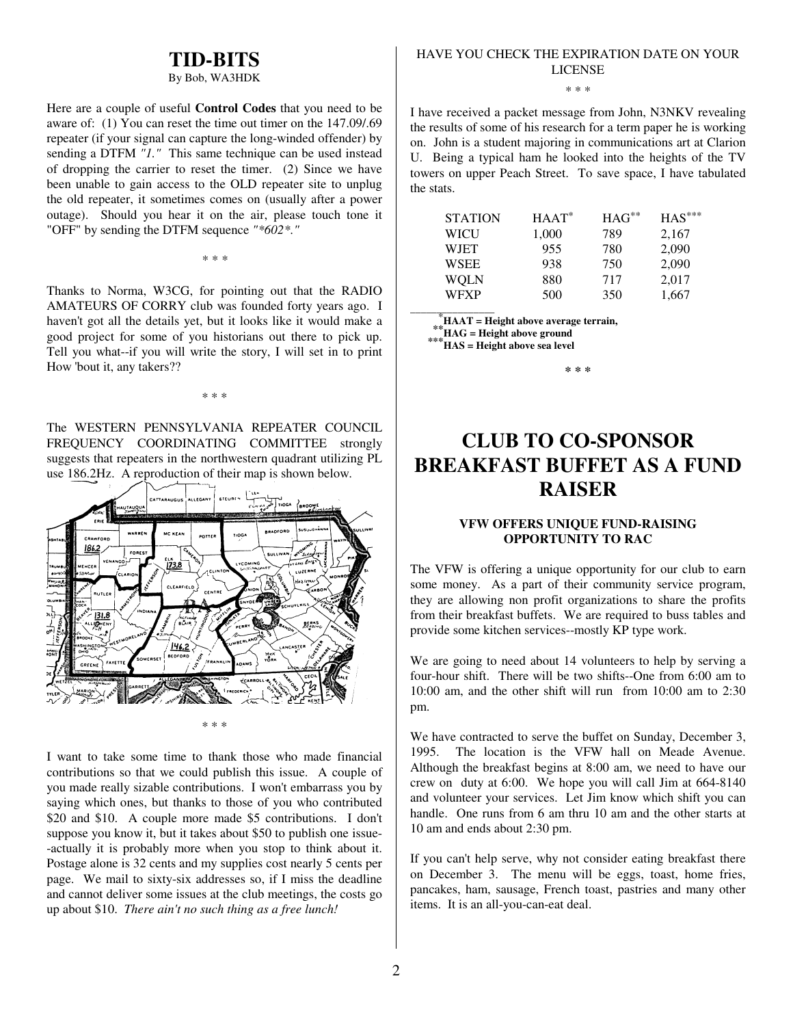### **TID-BITS**

#### By Bob, WA3HDK

Here are a couple of useful **Control Codes** that you need to be aware of: (1) You can reset the time out timer on the 147.09/.69 repeater (if your signal can capture the long-winded offender) by sending a DTFM *"1."* This same technique can be used instead of dropping the carrier to reset the timer. (2) Since we have been unable to gain access to the OLD repeater site to unplug the old repeater, it sometimes comes on (usually after a power outage). Should you hear it on the air, please touch tone it "OFF" by sending the DTFM sequence *"\*602\*."*

Thanks to Norma, W3CG, for pointing out that the RADIO AMATEURS OF CORRY club was founded forty years ago. I haven't got all the details yet, but it looks like it would make a

*\* \* \**

good project for some of you historians out there to pick up. Tell you what--if you will write the story, I will set in to print How 'bout it, any takers??

\* \* \*

The WESTERN PENNSYLVANIA REPEATER COUNCIL FREQUENCY COORDINATING COMMITTEE strongly suggests that repeaters in the northwestern quadrant utilizing PL use 186.2Hz. A reproduction of their map is shown below.



I want to take some time to thank those who made financial contributions so that we could publish this issue. A couple of you made really sizable contributions. I won't embarrass you by saying which ones, but thanks to those of you who contributed \$20 and \$10. A couple more made \$5 contributions. I don't suppose you know it, but it takes about \$50 to publish one issue- -actually it is probably more when you stop to think about it. Postage alone is 32 cents and my supplies cost nearly 5 cents per page. We mail to sixty-six addresses so, if I miss the deadline and cannot deliver some issues at the club meetings, the costs go up about \$10. *There ain't no such thing as a free lunch!*

### HAVE YOU CHECK THE EXPIRATION DATE ON YOUR LICENSE

\* \* \*

I have received a packet message from John, N3NKV revealing the results of some of his research for a term paper he is working on. John is a student majoring in communications art at Clarion U. Being a typical ham he looked into the heights of the TV towers on upper Peach Street. To save space, I have tabulated the stats.

| <b>STATION</b> | $HAAT^*$ | $HAG^{**}$ | $HAS***$ |
|----------------|----------|------------|----------|
| WICU           | 1,000    | 789        | 2,167    |
| WIET           | 955      | 780        | 2,090    |
| WSEE           | 938      | 750        | 2,090    |
| WOLN           | 880      | 717        | 2,017    |
| WFXP           | 500      | 350        | 1,667    |

\***HAAT = Height above average terrain,**

 **\*\*HAG = Height above ground \*\*\*HAS = Height above sea level**

\_\_\_\_\_\_\_\_\_\_\_\_\_\_\_\_

**\* \* \***

## **CLUB TO CO-SPONSOR BREAKFAST BUFFET AS A FUND RAISER**

### **VFW OFFERS UNIQUE FUND-RAISING OPPORTUNITY TO RAC**

The VFW is offering a unique opportunity for our club to earn some money. As a part of their community service program, they are allowing non profit organizations to share the profits from their breakfast buffets. We are required to buss tables and provide some kitchen services--mostly KP type work.

We are going to need about 14 volunteers to help by serving a four-hour shift. There will be two shifts--One from 6:00 am to 10:00 am, and the other shift will run from 10:00 am to 2:30 pm.

We have contracted to serve the buffet on Sunday, December 3, 1995. The location is the VFW hall on Meade Avenue. Although the breakfast begins at 8:00 am, we need to have our crew on duty at 6:00. We hope you will call Jim at 664-8140 and volunteer your services. Let Jim know which shift you can handle. One runs from 6 am thru 10 am and the other starts at 10 am and ends about 2:30 pm.

If you can't help serve, why not consider eating breakfast there on December 3. The menu will be eggs, toast, home fries, pancakes, ham, sausage, French toast, pastries and many other items. It is an all-you-can-eat deal.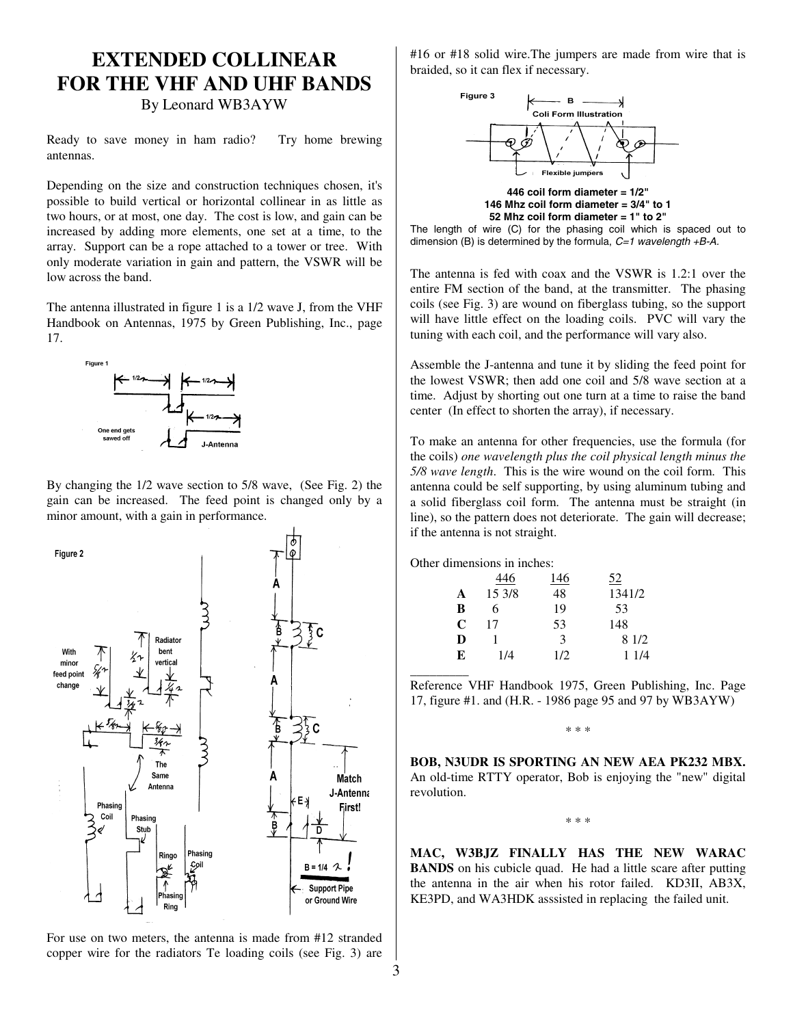## **EXTENDED COLLINEAR FOR THE VHF AND UHF BANDS**

By Leonard WB3AYW

Ready to save money in ham radio? Try home brewing antennas.

Depending on the size and construction techniques chosen, it's possible to build vertical or horizontal collinear in as little as two hours, or at most, one day. The cost is low, and gain can be increased by adding more elements, one set at a time, to the array. Support can be a rope attached to a tower or tree. With only moderate variation in gain and pattern, the VSWR will be low across the band.

The antenna illustrated in figure 1 is a 1/2 wave J, from the VHF Handbook on Antennas, 1975 by Green Publishing, Inc., page 17.



By changing the 1/2 wave section to 5/8 wave, (See Fig. 2) the gain can be increased. The feed point is changed only by a minor amount, with a gain in performance.



 For use on two meters, the antenna is made from #12 stranded copper wire for the radiators Te loading coils (see Fig. 3) are #16 or #18 solid wire.The jumpers are made from wire that is braided, so it can flex if necessary.



The length of wire (C) for the phasing coil which is spaced out to dimension (B) is determined by the formula, *C=1 wavelength +B-A.*

The antenna is fed with coax and the VSWR is 1.2:1 over the entire FM section of the band, at the transmitter. The phasing coils (see Fig. 3) are wound on fiberglass tubing, so the support will have little effect on the loading coils. PVC will vary the tuning with each coil, and the performance will vary also.

Assemble the J-antenna and tune it by sliding the feed point for the lowest VSWR; then add one coil and 5/8 wave section at a time. Adjust by shorting out one turn at a time to raise the band center (In effect to shorten the array), if necessary.

To make an antenna for other frequencies, use the formula (for the coils) *one wavelength plus the coil physical length minus the 5/8 wave length*. This is the wire wound on the coil form. This antenna could be self supporting, by using aluminum tubing and a solid fiberglass coil form. The antenna must be straight (in line), so the pattern does not deteriorate. The gain will decrease; if the antenna is not straight.

Other dimensions in inches:

 $\overline{\phantom{a}}$ 

|   | 446    | 146 | 52     |
|---|--------|-----|--------|
| A | 15 3/8 | 48  | 1341/2 |
| B | 6      | 19  | 53     |
| C | 17     | 53  | 148    |
| D |        | 3   | 8 1/2  |
| E | 1/4    | 1/2 | 1 1/4  |

Reference VHF Handbook 1975, Green Publishing, Inc. Page 17, figure #1. and (H.R. - 1986 page 95 and 97 by WB3AYW)

\* \* \*

**BOB, N3UDR IS SPORTING AN NEW AEA PK232 MBX.** An old-time RTTY operator, Bob is enjoying the "new" digital revolution.

\* \* \*

**MAC, W3BJZ FINALLY HAS THE NEW WARAC BANDS** on his cubicle quad. He had a little scare after putting the antenna in the air when his rotor failed. KD3II, AB3X, KE3PD, and WA3HDK asssisted in replacing the failed unit.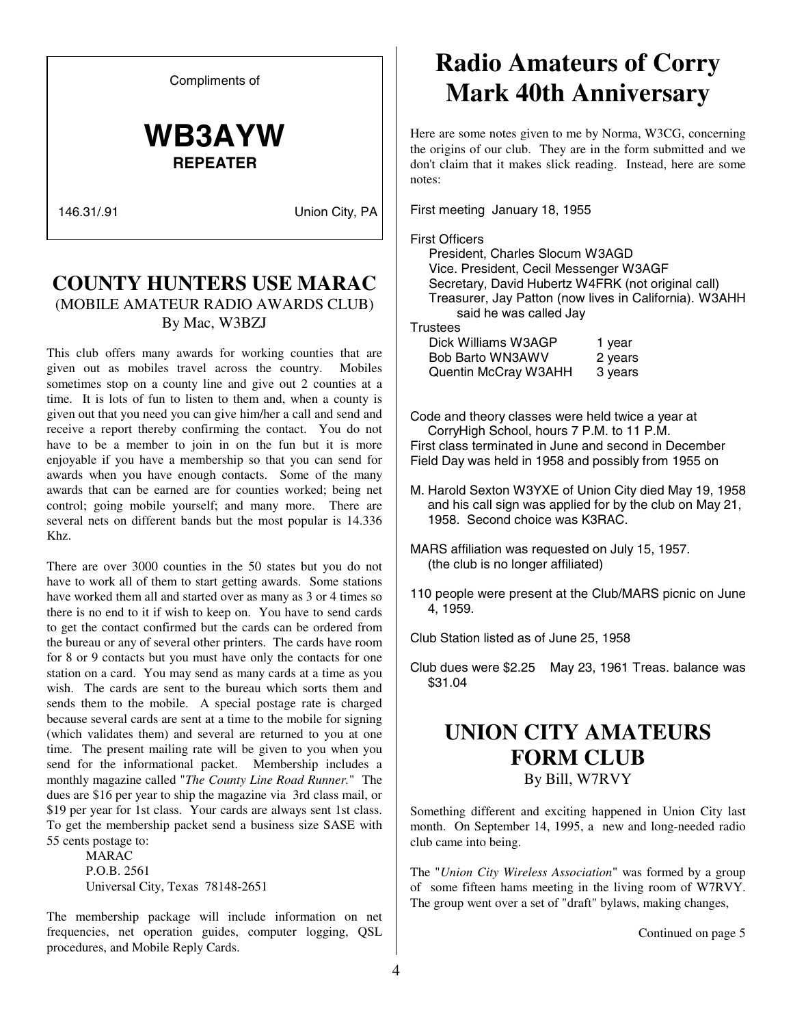Compliments of

## **WB3AYW REPEATER**

146.31/.91 Union City, PA

### **COUNTY HUNTERS USE MARAC** (MOBILE AMATEUR RADIO AWARDS CLUB) By Mac, W3BZJ

This club offers many awards for working counties that are given out as mobiles travel across the country. Mobiles sometimes stop on a county line and give out 2 counties at a time. It is lots of fun to listen to them and, when a county is given out that you need you can give him/her a call and send and receive a report thereby confirming the contact. You do not have to be a member to join in on the fun but it is more enjoyable if you have a membership so that you can send for awards when you have enough contacts. Some of the many awards that can be earned are for counties worked; being net control; going mobile yourself; and many more. There are several nets on different bands but the most popular is 14.336 Khz.

There are over 3000 counties in the 50 states but you do not have to work all of them to start getting awards. Some stations have worked them all and started over as many as 3 or 4 times so there is no end to it if wish to keep on. You have to send cards to get the contact confirmed but the cards can be ordered from the bureau or any of several other printers. The cards have room for 8 or 9 contacts but you must have only the contacts for one station on a card. You may send as many cards at a time as you wish. The cards are sent to the bureau which sorts them and sends them to the mobile. A special postage rate is charged because several cards are sent at a time to the mobile for signing (which validates them) and several are returned to you at one time. The present mailing rate will be given to you when you send for the informational packet. Membership includes a monthly magazine called "*The County Line Road Runner.*" The dues are \$16 per year to ship the magazine via 3rd class mail, or \$19 per year for 1st class. Your cards are always sent 1st class. To get the membership packet send a business size SASE with 55 cents postage to:

 MARAC P.O.B. 2561 Universal City, Texas 78148-2651

The membership package will include information on net frequencies, net operation guides, computer logging, QSL procedures, and Mobile Reply Cards.

## **Radio Amateurs of Corry Mark 40th Anniversary**

Here are some notes given to me by Norma, W3CG, concerning the origins of our club. They are in the form submitted and we don't claim that it makes slick reading. Instead, here are some notes:

First meeting January 18, 1955

### First Officers

President, Charles Slocum W3AGD Vice. President, Cecil Messenger W3AGF Secretary, David Hubertz W4FRK (not original call) Treasurer, Jay Patton (now lives in California). W3AHH said he was called Jay

**Trustees** 

| Dick Williams W3AGP  | 1 year  |
|----------------------|---------|
| Bob Barto WN3AWV     | 2 years |
| Quentin McCray W3AHH | 3 years |

Code and theory classes were held twice a year at CorryHigh School, hours 7 P.M. to 11 P.M. First class terminated in June and second in December Field Day was held in 1958 and possibly from 1955 on

- M. Harold Sexton W3YXE of Union City died May 19, 1958 and his call sign was applied for by the club on May 21, 1958. Second choice was K3RAC.
- MARS affiliation was requested on July 15, 1957. (the club is no longer affiliated)
- 110 people were present at the Club/MARS picnic on June 4, 1959.

Club Station listed as of June 25, 1958

Club dues were \$2.25 May 23, 1961 Treas. balance was \$31.04

### **UNION CITY AMATEURS FORM CLUB** By Bill, W7RVY

Something different and exciting happened in Union City last month. On September 14, 1995, a new and long-needed radio club came into being.

The "*Union City Wireless Association*" was formed by a group of some fifteen hams meeting in the living room of W7RVY. The group went over a set of "draft" bylaws, making changes,

Continued on page 5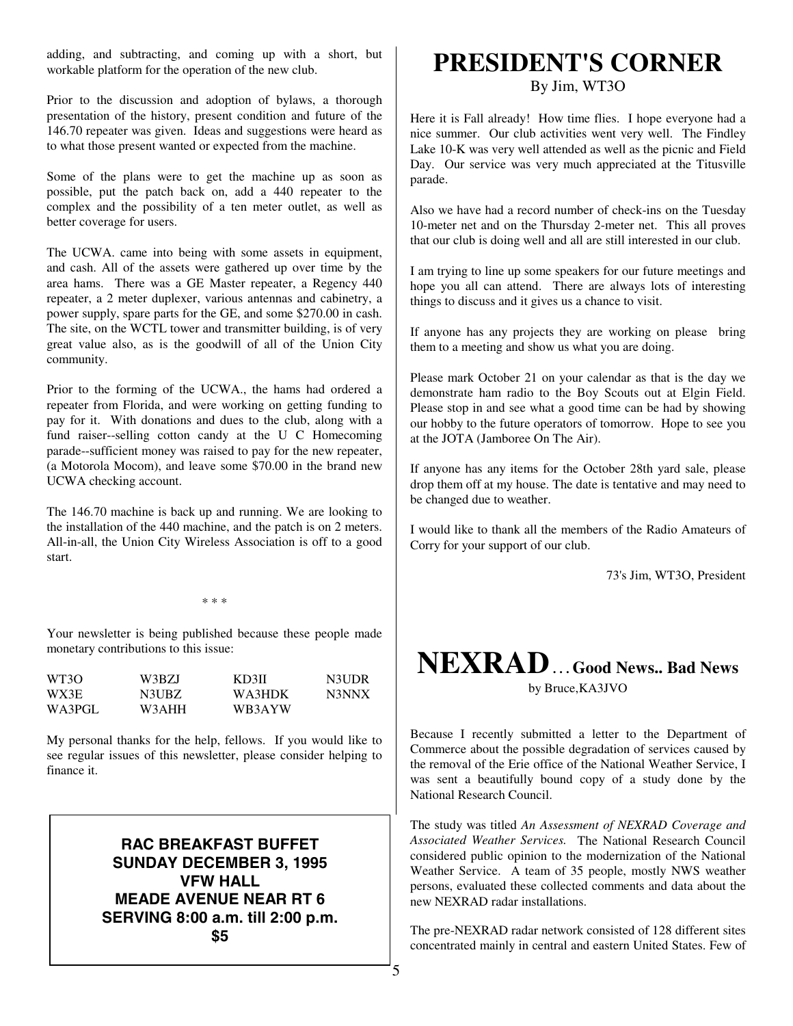adding, and subtracting, and coming up with a short, but workable platform for the operation of the new club.

Prior to the discussion and adoption of bylaws, a thorough presentation of the history, present condition and future of the 146.70 repeater was given. Ideas and suggestions were heard as to what those present wanted or expected from the machine.

Some of the plans were to get the machine up as soon as possible, put the patch back on, add a 440 repeater to the complex and the possibility of a ten meter outlet, as well as better coverage for users.

The UCWA. came into being with some assets in equipment, and cash. All of the assets were gathered up over time by the area hams. There was a GE Master repeater, a Regency 440 repeater, a 2 meter duplexer, various antennas and cabinetry, a power supply, spare parts for the GE, and some \$270.00 in cash. The site, on the WCTL tower and transmitter building, is of very great value also, as is the goodwill of all of the Union City community.

Prior to the forming of the UCWA., the hams had ordered a repeater from Florida, and were working on getting funding to pay for it. With donations and dues to the club, along with a fund raiser--selling cotton candy at the U C Homecoming parade--sufficient money was raised to pay for the new repeater, (a Motorola Mocom), and leave some \$70.00 in the brand new UCWA checking account.

The 146.70 machine is back up and running. We are looking to the installation of the 440 machine, and the patch is on 2 meters. All-in-all, the Union City Wireless Association is off to a good start.

\* \* \*

Your newsletter is being published because these people made monetary contributions to this issue:

| WT3O   | W3BZJ | KD3II  | N3UDR |
|--------|-------|--------|-------|
| WX3E   | N3UBZ | WA3HDK | N3NNX |
| WA3PGL | W3AHH | WB3AYW |       |

My personal thanks for the help, fellows. If you would like to see regular issues of this newsletter, please consider helping to finance it.

> **RAC BREAKFAST BUFFET SUNDAY DECEMBER 3, 1995 VFW HALL MEADE AVENUE NEAR RT 6 SERVING 8:00 a.m. till 2:00 p.m. \$5**

## **PRESIDENT'S CORNER**

By Jim, WT3O

Here it is Fall already! How time flies. I hope everyone had a nice summer. Our club activities went very well. The Findley Lake 10-K was very well attended as well as the picnic and Field Day. Our service was very much appreciated at the Titusville parade.

Also we have had a record number of check-ins on the Tuesday 10-meter net and on the Thursday 2-meter net. This all proves that our club is doing well and all are still interested in our club.

I am trying to line up some speakers for our future meetings and hope you all can attend. There are always lots of interesting things to discuss and it gives us a chance to visit.

If anyone has any projects they are working on please bring them to a meeting and show us what you are doing.

Please mark October 21 on your calendar as that is the day we demonstrate ham radio to the Boy Scouts out at Elgin Field. Please stop in and see what a good time can be had by showing our hobby to the future operators of tomorrow. Hope to see you at the JOTA (Jamboree On The Air).

If anyone has any items for the October 28th yard sale, please drop them off at my house. The date is tentative and may need to be changed due to weather.

I would like to thank all the members of the Radio Amateurs of Corry for your support of our club.

73's Jim, WT3O, President

## **NEXRAD . . . Good News.. Bad News**

by Bruce,KA3JVO

Because I recently submitted a letter to the Department of Commerce about the possible degradation of services caused by the removal of the Erie office of the National Weather Service, I was sent a beautifully bound copy of a study done by the National Research Council.

The study was titled *An Assessment of NEXRAD Coverage and Associated Weather Services.* The National Research Council considered public opinion to the modernization of the National Weather Service. A team of 35 people, mostly NWS weather persons, evaluated these collected comments and data about the new NEXRAD radar installations.

The pre-NEXRAD radar network consisted of 128 different sites concentrated mainly in central and eastern United States. Few of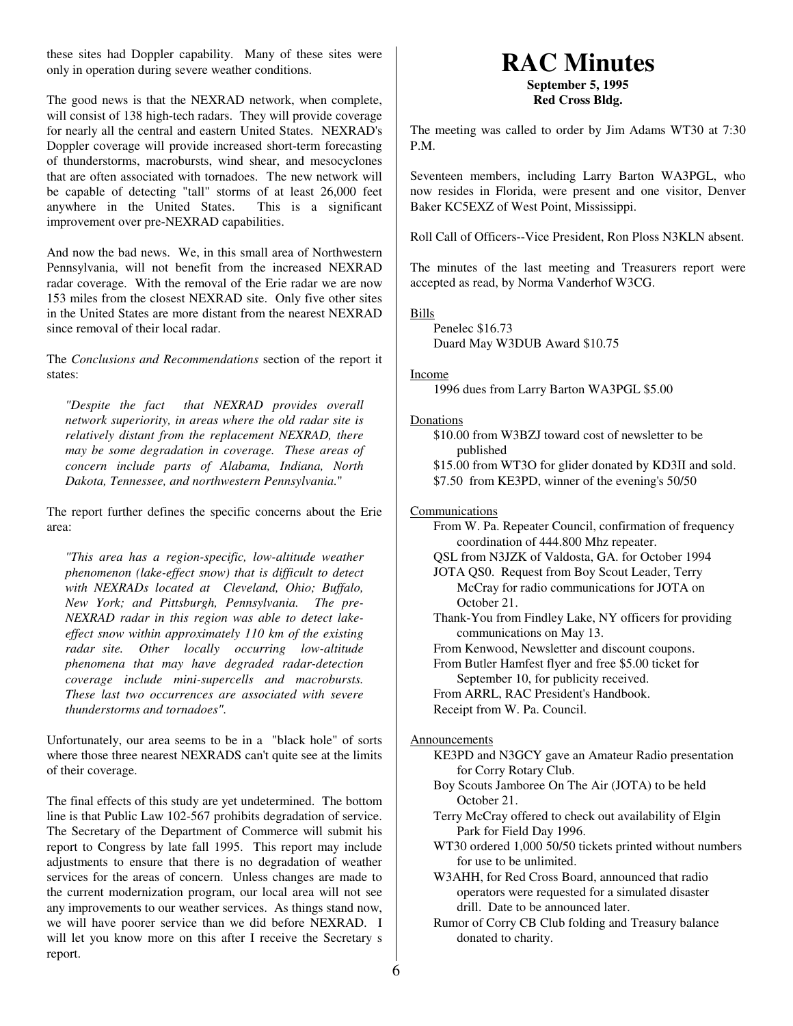these sites had Doppler capability. Many of these sites were only in operation during severe weather conditions.

The good news is that the NEXRAD network, when complete, will consist of 138 high-tech radars. They will provide coverage for nearly all the central and eastern United States. NEXRAD's Doppler coverage will provide increased short-term forecasting of thunderstorms, macrobursts, wind shear, and mesocyclones that are often associated with tornadoes. The new network will be capable of detecting "tall" storms of at least 26,000 feet anywhere in the United States. This is a significant improvement over pre-NEXRAD capabilities.

And now the bad news. We, in this small area of Northwestern Pennsylvania, will not benefit from the increased NEXRAD radar coverage. With the removal of the Erie radar we are now 153 miles from the closest NEXRAD site. Only five other sites in the United States are more distant from the nearest NEXRAD since removal of their local radar.

The *Conclusions and Recommendations* section of the report it states:

*"Despite the fact that NEXRAD provides overall network superiority, in areas where the old radar site is relatively distant from the replacement NEXRAD, there may be some degradation in coverage. These areas of concern include parts of Alabama, Indiana, North Dakota, Tennessee, and northwestern Pennsylvania.*"

The report further defines the specific concerns about the Erie area:

*"This area has a region-specific, low-altitude weather phenomenon (lake-effect snow) that is difficult to detect with NEXRADs located at Cleveland, Ohio; Buffalo, New York; and Pittsburgh, Pennsylvania. The pre-NEXRAD radar in this region was able to detect lakeeffect snow within approximately 110 km of the existing radar site. Other locally occurring low-altitude phenomena that may have degraded radar-detection coverage include mini-supercells and macrobursts. These last two occurrences are associated with severe thunderstorms and tornadoes".*

Unfortunately, our area seems to be in a "black hole" of sorts where those three nearest NEXRADS can't quite see at the limits of their coverage.

The final effects of this study are yet undetermined. The bottom line is that Public Law 102-567 prohibits degradation of service. The Secretary of the Department of Commerce will submit his report to Congress by late fall 1995. This report may include adjustments to ensure that there is no degradation of weather services for the areas of concern. Unless changes are made to the current modernization program, our local area will not see any improvements to our weather services. As things stand now, we will have poorer service than we did before NEXRAD. I will let you know more on this after I receive the Secretary s report.

## **RAC Minutes**

**September 5, 1995 Red Cross Bldg.**

The meeting was called to order by Jim Adams WT30 at 7:30 P.M.

Seventeen members, including Larry Barton WA3PGL, who now resides in Florida, were present and one visitor, Denver Baker KC5EXZ of West Point, Mississippi.

Roll Call of Officers--Vice President, Ron Ploss N3KLN absent.

The minutes of the last meeting and Treasurers report were accepted as read, by Norma Vanderhof W3CG.

Bills

Penelec \$16.73 Duard May W3DUB Award \$10.75

### Income

1996 dues from Larry Barton WA3PGL \$5.00

### **Donations**

\$10.00 from W3BZJ toward cost of newsletter to be published

\$15.00 from WT3O for glider donated by KD3II and sold. \$7.50 from KE3PD, winner of the evening's 50/50

### Communications

- From W. Pa. Repeater Council, confirmation of frequency coordination of 444.800 Mhz repeater.
- QSL from N3JZK of Valdosta, GA. for October 1994

JOTA QS0. Request from Boy Scout Leader, Terry McCray for radio communications for JOTA on October 21.

Thank-You from Findley Lake, NY officers for providing communications on May 13.

From Kenwood, Newsletter and discount coupons.

From Butler Hamfest flyer and free \$5.00 ticket for September 10, for publicity received.

From ARRL, RAC President's Handbook.

Receipt from W. Pa. Council.

### **Announcements**

KE3PD and N3GCY gave an Amateur Radio presentation for Corry Rotary Club.

- Boy Scouts Jamboree On The Air (JOTA) to be held October 21.
- Terry McCray offered to check out availability of Elgin Park for Field Day 1996.
- WT30 ordered 1,000 50/50 tickets printed without numbers for use to be unlimited.
- W3AHH, for Red Cross Board, announced that radio operators were requested for a simulated disaster drill. Date to be announced later.
- Rumor of Corry CB Club folding and Treasury balance donated to charity.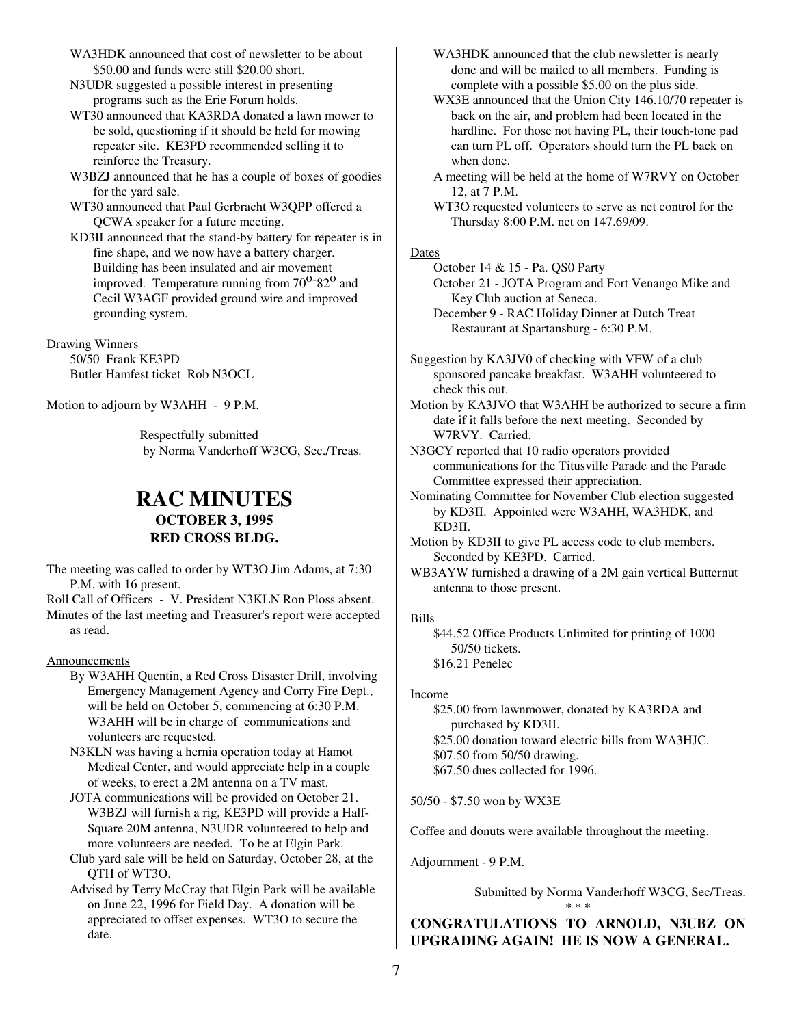- WA3HDK announced that cost of newsletter to be about \$50.00 and funds were still \$20.00 short.
- N3UDR suggested a possible interest in presenting programs such as the Erie Forum holds.
- WT30 announced that KA3RDA donated a lawn mower to be sold, questioning if it should be held for mowing repeater site. KE3PD recommended selling it to reinforce the Treasury.
- W3BZJ announced that he has a couple of boxes of goodies for the yard sale.
- WT30 announced that Paul Gerbracht W3QPP offered a QCWA speaker for a future meeting.
- KD3II announced that the stand-by battery for repeater is in fine shape, and we now have a battery charger. Building has been insulated and air movement improved. Temperature running from  $70^{\circ}$ -82<sup>o</sup> and Cecil W3AGF provided ground wire and improved grounding system.

Drawing Winners

50/50 Frank KE3PD Butler Hamfest ticket Rob N3OCL

Motion to adjourn by W3AHH - 9 P.M.

Respectfully submitted by Norma Vanderhoff W3CG, Sec./Treas.

### **RAC MINUTES OCTOBER 3, 1995 RED CROSS BLDG.**

- The meeting was called to order by WT3O Jim Adams, at 7:30 P.M. with 16 present.
- Roll Call of Officers V. President N3KLN Ron Ploss absent. Minutes of the last meeting and Treasurer's report were accepted as read.

### Announcements

- By W3AHH Quentin, a Red Cross Disaster Drill, involving Emergency Management Agency and Corry Fire Dept., will be held on October 5, commencing at 6:30 P.M. W3AHH will be in charge of communications and volunteers are requested.
- N3KLN was having a hernia operation today at Hamot Medical Center, and would appreciate help in a couple of weeks, to erect a 2M antenna on a TV mast.
- JOTA communications will be provided on October 21. W3BZJ will furnish a rig, KE3PD will provide a Half-Square 20M antenna, N3UDR volunteered to help and more volunteers are needed. To be at Elgin Park.
- Club yard sale will be held on Saturday, October 28, at the QTH of WT3O.
- Advised by Terry McCray that Elgin Park will be available on June 22, 1996 for Field Day. A donation will be appreciated to offset expenses. WT3O to secure the date.
- WA3HDK announced that the club newsletter is nearly done and will be mailed to all members. Funding is complete with a possible \$5.00 on the plus side.
- WX3E announced that the Union City 146.10/70 repeater is back on the air, and problem had been located in the hardline. For those not having PL, their touch-tone pad can turn PL off. Operators should turn the PL back on when done.
- A meeting will be held at the home of W7RVY on October 12, at 7 P.M.
- WT3O requested volunteers to serve as net control for the Thursday 8:00 P.M. net on 147.69/09.

#### **Dates**

October 14 & 15 - Pa. QS0 Party October 21 - JOTA Program and Fort Venango Mike and

Key Club auction at Seneca.

- December 9 RAC Holiday Dinner at Dutch Treat Restaurant at Spartansburg - 6:30 P.M.
- Suggestion by KA3JV0 of checking with VFW of a club sponsored pancake breakfast. W3AHH volunteered to check this out.
- Motion by KA3JVO that W3AHH be authorized to secure a firm date if it falls before the next meeting. Seconded by W7RVY. Carried.

N3GCY reported that 10 radio operators provided communications for the Titusville Parade and the Parade Committee expressed their appreciation.

- Nominating Committee for November Club election suggested by KD3II. Appointed were W3AHH, WA3HDK, and KD3II.
- Motion by KD3II to give PL access code to club members. Seconded by KE3PD. Carried.
- WB3AYW furnished a drawing of a 2M gain vertical Butternut antenna to those present.

### Bills

\$44.52 Office Products Unlimited for printing of 1000 50/50 tickets. \$16.21 Penelec

### Income

\$25.00 from lawnmower, donated by KA3RDA and purchased by KD3II. \$25.00 donation toward electric bills from WA3HJC. \$07.50 from 50/50 drawing. \$67.50 dues collected for 1996.

50/50 - \$7.50 won by WX3E

Coffee and donuts were available throughout the meeting.

Adjournment - 9 P.M.

Submitted by Norma Vanderhoff W3CG, Sec/Treas.

### **CONGRATULATIONS TO ARNOLD, N3UBZ ON UPGRADING AGAIN! HE IS NOW A GENERAL.**

\* \* \*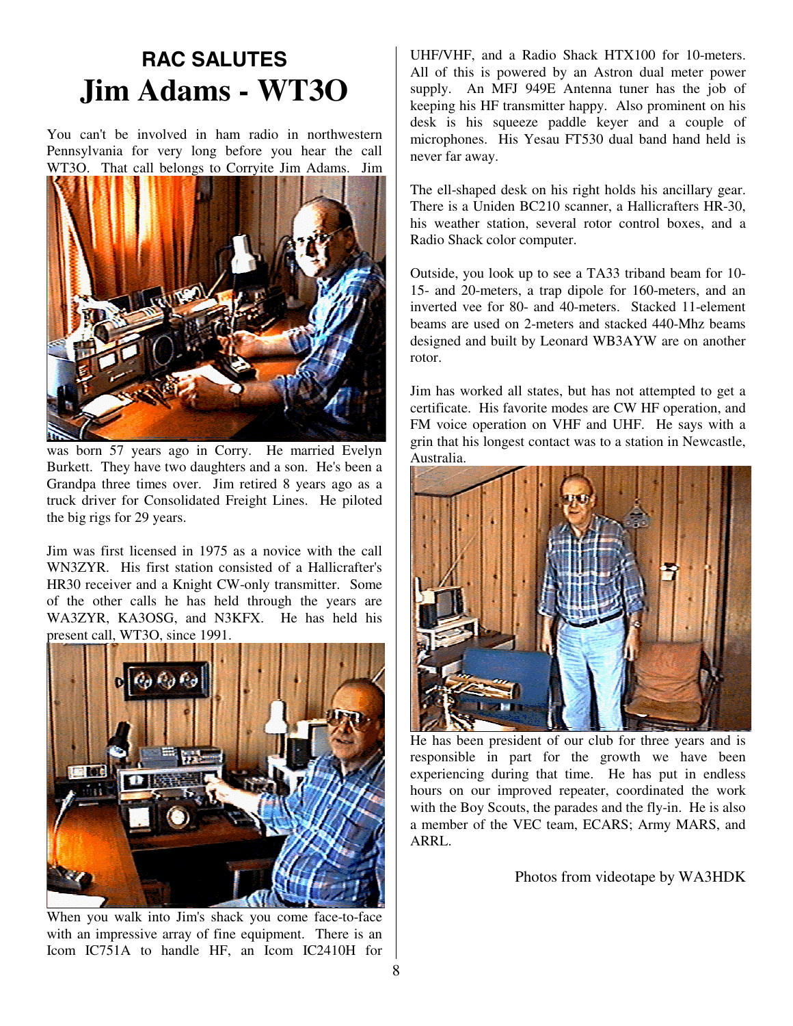## **RAC SALUTES Jim Adams - WT3O**

You can't be involved in ham radio in northwestern Pennsylvania for very long before you hear the call WT3O. That call belongs to Corryite Jim Adams. Jim



was born 57 years ago in Corry. He married Evelyn Burkett. They have two daughters and a son. He's been a Grandpa three times over. Jim retired 8 years ago as a truck driver for Consolidated Freight Lines. He piloted the big rigs for 29 years.

Jim was first licensed in 1975 as a novice with the call WN3ZYR. His first station consisted of a Hallicrafter's HR30 receiver and a Knight CW-only transmitter. Some of the other calls he has held through the years are WA3ZYR, KA3OSG, and N3KFX. He has held his present call, WT3O, since 1991.



When you walk into Jim's shack you come face-to-face with an impressive array of fine equipment. There is an Icom IC751A to handle HF, an Icom IC2410H for

UHF/VHF, and a Radio Shack HTX100 for 10-meters. All of this is powered by an Astron dual meter power supply. An MFJ 949E Antenna tuner has the job of keeping his HF transmitter happy. Also prominent on his desk is his squeeze paddle keyer and a couple of microphones. His Yesau FT530 dual band hand held is never far away.

The ell-shaped desk on his right holds his ancillary gear. There is a Uniden BC210 scanner, a Hallicrafters HR-30, his weather station, several rotor control boxes, and a Radio Shack color computer.

Outside, you look up to see a TA33 triband beam for 10- 15- and 20-meters, a trap dipole for 160-meters, and an inverted vee for 80- and 40-meters. Stacked 11-element beams are used on 2-meters and stacked 440-Mhz beams designed and built by Leonard WB3AYW are on another rotor.

Jim has worked all states, but has not attempted to get a certificate. His favorite modes are CW HF operation, and FM voice operation on VHF and UHF. He says with a grin that his longest contact was to a station in Newcastle, Australia.



He has been president of our club for three years and is responsible in part for the growth we have been experiencing during that time. He has put in endless hours on our improved repeater, coordinated the work with the Boy Scouts, the parades and the fly-in. He is also a member of the VEC team, ECARS; Army MARS, and ARRL.

Photos from videotape by WA3HDK